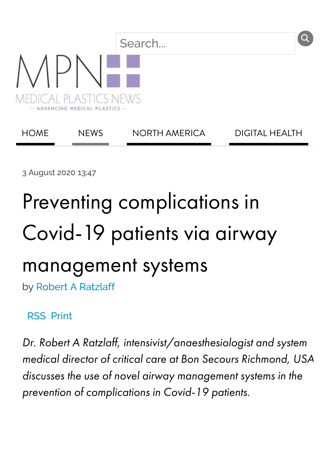

3 August 2020 13:47

# Preventing complications in Covid-19 patients via airway management systems by [Robert A Ratzlaff](https://www.medicalplasticsnews.com/topics/robert-ratzlaff/)

#### [RSS](https://www.medicalplasticsnews.com/news/index.rss) Print

Dr. Robert A Ratzlaff, intensivist/anaesthesiologist and system medical director of critical care at Bon Secours [Richmond,](https://www.bonsecours.com/) USA discusses the use of novel airway management systems in the prevention of complications in Covid-19 patients.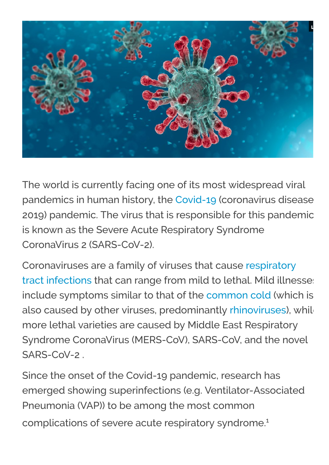

The world is currently facing one of its most widespread viral pandemics in human history, the [Covid-19](https://en.wikipedia.org/wiki/Coronavirus_disease_2019) (coronavirus disease 2019) pandemic. The virus that is responsible for this pandemic is known as the Severe Acute Respiratory Syndrome CoronaVirus 2 (SARS-CoV-2).

Coronaviruses are a family of viruses that cause respiratory [tract infections that can range from mild to lethal. Mild illne](https://en.wikipedia.org/wiki/Respiratory_tract_infection)sses include symptoms similar to that of the [common cold](https://en.wikipedia.org/wiki/Common_cold) (which is also caused by other viruses, predominantly [rhinoviruses\)](https://en.wikipedia.org/wiki/Rhinovirus), while more lethal varieties are caused by Middle East Respiratory Syndrome CoronaVirus (MERS-CoV), SARS-CoV, and the novel SARS-CoV-2

Since the onset of the Covid-19 pandemic, research has emerged showing superinfections (e.g. Ventilator-Associated Pneumonia (VAP)) to be among the most common complications of severe acute respiratory syndrome.<sup>1</sup>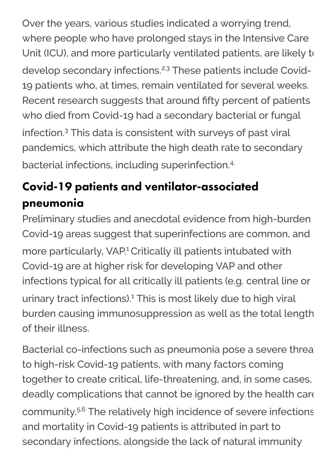Over the years, various studies indicated a worrying trend, where people who have prolonged stays in the Intensive Care Unit (ICU), and more particularly ventilated patients, are likely to develop secondary infections.<sup>2,3</sup> These patients include Covid-19 patients who, at times, remain ventilated for several weeks. Recent research suggests that around fifty percent of patients who died from Covid-19 had a secondary bacterial or fungal infection.<sup>3</sup> This data is consistent with surveys of past viral pandemics, which attribute the high death rate to secondary bacterial infections, including superinfection.4.

## Covid-19 patients and ventilator-associated pneumonia

Preliminary studies and anecdotal evidence from high-burden Covid-19 areas suggest that superinfections are common, and more particularly, VAP.<sup>1</sup> Critically ill patients intubated with Covid-19 are at higher risk for developing VAP and other infections typical for all critically ill patients (e.g. central line or urinary tract infections).<sup>1</sup> This is most likely due to high viral burden causing immunosuppression as well as the total length of their illness.

Bacterial co-infections such as pneumonia pose a severe threa to high-risk Covid-19 patients, with many factors coming together to create critical, life-threatening, and, in some cases, deadly complications that cannot be ignored by the health care community.<sup>5,6</sup> The relatively high incidence of severe infections and mortality in Covid-19 patients is attributed in part to secondary infections, alongside the lack of natural immunity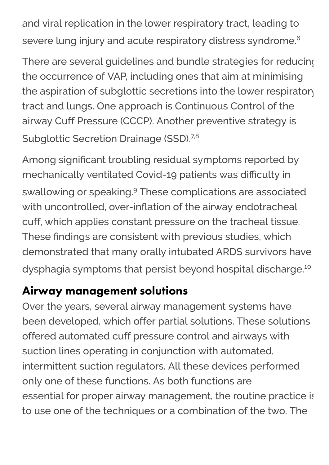and viral replication in the lower respiratory tract, leading to severe lung injury and acute respiratory distress syndrome.<sup>6</sup>

There are several guidelines and bundle strategies for reducing the occurrence of VAP, including ones that aim at minimising the aspiration of subglottic secretions into the lower respiratory tract and lungs. One approach is Continuous Control of the airway Cuff Pressure (CCCP). Another preventive strategy is Subglottic Secretion Drainage (SSD).<sup>7,8</sup>

Among significant troubling residual symptoms reported by mechanically ventilated Covid-19 patients was difficulty in swallowing or speaking.<sup>9</sup> These complications are associated with uncontrolled, over-inflation of the airway endotracheal cuff, which applies constant pressure on the tracheal tissue. These findings are consistent with previous studies, which demonstrated that many orally intubated ARDS survivors have dysphagia symptoms that persist beyond hospital discharge.<sup>10</sup>

### Airway management solutions

Over the years, several airway management systems have been developed, which offer partial solutions. These solutions offered automated cuff pressure control and airways with suction lines operating in conjunction with automated, intermittent suction regulators. All these devices performed only one of these functions. As both functions are essential for proper airway management, the routine practice is to use one of the techniques or a combination of the two. The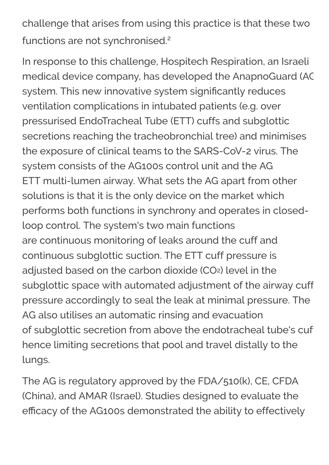challenge that arises from using this practice is that these two functions are not synchronised.<sup>2</sup>

In response to this challenge, Hospitech Respiration, an Israeli medical device company, has developed the AnapnoGuard (AG system. This new innovative system significantly reduces ventilation complications in intubated patients (e.g. over pressurised EndoTracheal Tube (ETT) cuffs and subglottic secretions reaching the tracheobronchial tree) and minimises the exposure of clinical teams to the SARS-CoV-2 virus. The system consists of the AG100s control unit and the AG ETT multi-lumen airway. What sets the AG apart from other solutions is that it is the only device on the market which performs both functions in synchrony and operates in closedloop control. The system's two main functions are continuous monitoring of leaks around the cuff and continuous subglottic suction. The ETT cuff pressure is adjusted based on the carbon dioxide (CO2) level in the subglottic space with automated adjustment of the airway cuff pressure accordingly to seal the leak at minimal pressure. The AG also utilises an automatic rinsing and evacuation of subglottic secretion from above the endotracheal tube's cufhence limiting secretions that pool and travel distally to the lungs.

The AG is regulatory approved by the FDA/510(k), CE, CFDA (China), and AMAR (Israel). Studies designed to evaluate the efficacy of the AG100s demonstrated the ability to effectively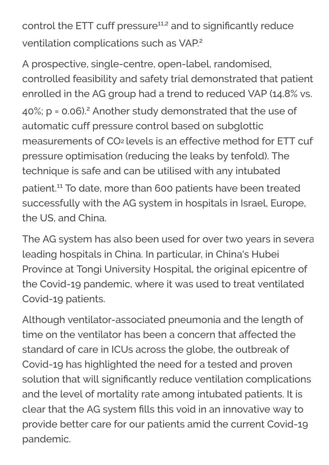control the ETT cuff pressure<sup>11,2</sup> and to significantly reduce ventilation complications such as VAP.<sup>2</sup>

A prospective, single-centre, open-label, randomised, controlled feasibility and safety trial demonstrated that patient enrolled in the AG group had a trend to reduced VAP (14.8% vs.  $40\%$ ; p = 0.06).<sup>2</sup> Another study demonstrated that the use of automatic cuff pressure control based on subglottic measurements of CO<sub>2</sub> levels is an effective method for ETT cufpressure optimisation (reducing the leaks by tenfold). The technique is safe and can be utilised with any intubated patient.<sup>11</sup> To date, more than 600 patients have been treated successfully with the AG system in hospitals in Israel, Europe, the US, and China.

The AG system has also been used for over two years in severa leading hospitals in China. In particular, in China's Hubei Province at Tongi University Hospital, the original epicentre of the Covid-19 pandemic, where it was used to treat ventilated Covid-19 patients.

Although ventilator-associated pneumonia and the length of time on the ventilator has been a concern that affected the standard of care in ICUs across the globe, the outbreak of Covid-19 has highlighted the need for a tested and proven solution that will significantly reduce ventilation complications and the level of mortality rate among intubated patients. It is clear that the AG system fills this void in an innovative way to provide better care for our patients amid the current Covid-19 pandemic.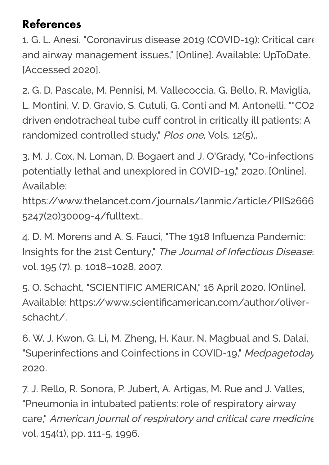#### References

1. G. L. Anesi, "Coronavirus disease 2019 (COVID-19): Critical care and airway management issues," [Online]. Available: UpToDate. [Accessed 2020].

2. G. D. Pascale, M. Pennisi, M. Vallecoccia, G. Bello, R. Maviglia, L. Montini, V. D. Gravio, S. Cutuli, G. Conti and M. Antonelli, ""CO2 driven endotracheal tube cuff control in critically ill patients: A randomized controlled study," Plos one, Vols. 12(5),.

3. M. J. Cox, N. Loman, D. Bogaert and J. O'Grady, "Co-infections potentially lethal and unexplored in COVID-19," 2020. [Online]. Available:

https://www.thelancet.com/journals/lanmic/article/PIIS2666 5247(20)30009-4/fulltext..

4. D. M. Morens and A. S. Fauci, "The 1918 Influenza Pandemic: Insights for the 21st Century," The Journal of Infectious Disease. vol. 195 (7), p. 1018–1028, 2007.

5. O. Schacht, "SCIENTIFIC AMERICAN," 16 April 2020. [Online]. Available: https://www.scientificamerican.com/author/oliverschacht/.

6. W. J. Kwon, G. Li, M. Zheng, H. Kaur, N. Magbual and S. Dalai, "Superinfections and Coinfections in COVID-19," Medpagetoday 2020.

7. J. Rello, R. Sonora, P. Jubert, A. Artigas, M. Rue and J. Valles, "Pneumonia in intubated patients: role of respiratory airway care," American journal of respiratory and critical care medicine vol. 154(1), pp. 111-5, 1996.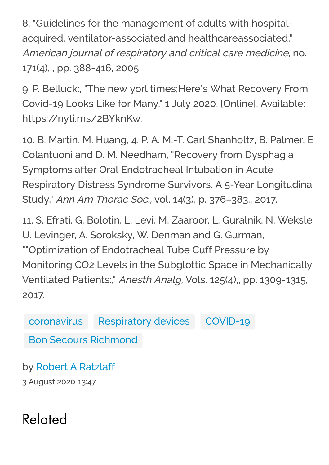8. "Guidelines for the management of adults with hospitalacquired, ventilator-associated,and healthcareassociated," American journal of respiratory and critical care medicine, no. 171(4), , pp. 388-416, 2005.

9. P. Belluck:, "The new yorl times;Here's What Recovery From Covid-19 Looks Like for Many," 1 July 2020. [Online]. Available: https://nyti.ms/2BYknKw.

10. B. Martin, M. Huang, 4. P. A. M.-T. Carl Shanholtz, B. Palmer, E Colantuoni and D. M. Needham, "Recovery from Dysphagia Symptoms after Oral Endotracheal Intubation in Acute Respiratory Distress Syndrome Survivors. A 5-Year Longitudinal Study," Ann Am Thorac Soc., vol. 14(3), p. 376–383., 2017.

11. S. Efrati, G. Bolotin, L. Levi, M. Zaaroor, L. Guralnik, N. Weksler U. Levinger, A. Soroksky, W. Denman and G. Gurman, ""Optimization of Endotracheal Tube Cuff Pressure by Monitoring CO2 Levels in the Subglottic Space in Mechanically Ventilated Patients:," Anesth Analg, Vols. 125(4),, pp. 1309-1315, 2017.

[coronavirus](https://www.medicalplasticsnews.com/topics/coronavirus/) [Respiratory devices](https://www.medicalplasticsnews.com/topics/respiratory_devices/) [COVID-19](https://www.medicalplasticsnews.com/topics/covid-19/)

[Bon Secours Richmond](https://www.medicalplasticsnews.com/topics/bon-secours-richmond/)

by [Robert A Ratzlaff](https://www.medicalplasticsnews.com/topics/robert-ratzlaff/) 3 August 2020 13:47

Related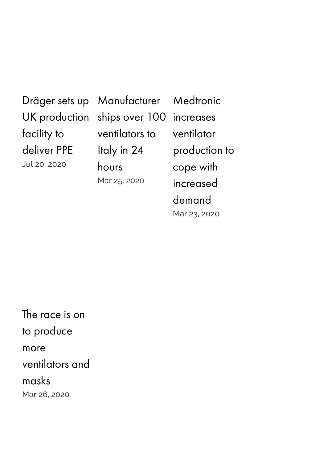### Dräger sets up UK [production](https://www.medicalplasticsnews.com/news/dr%C3%A4ger-sets-up-uk-production-facility-to-deliver-ppe/) facility to deliver PPE Jul 20, 2020

[Manufacturer](https://www.medicalplasticsnews.com/news/manufacturer-ships-over-100-ventilators-to-italy-in-24-hours/) ships over 100 increases ventilators to Italy in 24 hours Mar 25, 2020

Medtronic ventilator [production](https://www.medicalplasticsnews.com/news/medtronic-increases-manufacturing-capacity-to-cope-with-incr/) to cope with increased demand Mar 23, 2020

The race is on to produce more [ventilators](https://www.medicalplasticsnews.com/news/the-race-is-on-to-make-more-ventilators/) and masks Mar 26, 2020